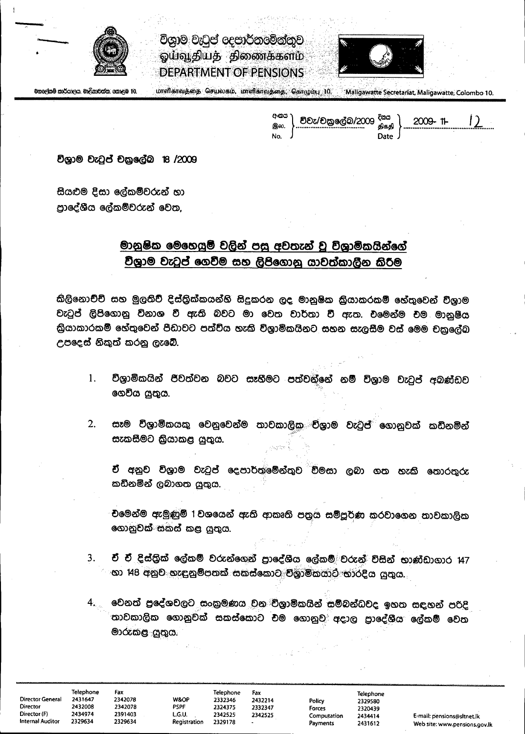

විශාම වැටුප් දෙපාර්තමේන්තුව ஓய்வூதியத் திணைக்களம் **DEPARTMENT OF PENSIONS** 



පිතලේකම් කාර්යාලය, මාලියාවත්ත, කොළඹ 10.

மாளிகாவத்தை செயலகம், மாளிகாவத்தை கொழும்பு 10 Maligawatte Secretariat, Maligawatte, Colombo 10.

| අංකය<br>இல.<br>No.<br>ר הC | 2009-11- |
|----------------------------|----------|
|----------------------------|----------|

විශුාම වැටුප් චකුලේබ 18 /2009

සියළුම දිසා ලේකම්වරුන් හා පාදේශීය ලේකම්වරුන් වෙත,

## මානුෂික මෙහෙයුම් වලින් පසු අවතැන් වු විශාමිකයින්ගේ. විශුාම වැටුප් ගෙවීම සහ ලිපිගොනු යාවත්කාලීන කිරිම

කිලිනොච්චි සහ මුලතිව් දිස්තිුක්කයන්හි සිදුකරන ලද මානුෂික කිුයාකරකම් හේතුවෙන් විශාම වැටුප් ලිපිගොනු විනාශ වී ඇති බවට මා වෙත වාර්තා වී ඇත. එමෙන්ම එම මානුෂීය කියාකාරකම් හේතුවෙන් පීඩාවට පත්විය හැකි විශුාමිකයිනට සහන සැලසීම වස් මෙම චකුලේබ උපදෙස් නිකුත් කරනු ලැබේ.

- විශුාමිකයින් ජීවත්වන බවට සෑහීමට පත්වන්නේ නම් විශුාම වැටුප් අබණ්ඩව  $1<sub>1</sub>$ ගෙවිය යුතුය.
- සෑම විශාමිකයකු වෙනුවෙන්ම තාවකාලිකු චිශුාම වැටුප් ගොනුවක් කඩිනමින්  $2.$ සැකසීමට කියාකළ යුතුය.

චී අනුව විශුාම වැටුප් දෙපාර්තමේන්තුව විමසා ලබා ගත හැකි තොරතුරු කඩිනමින් ලබාගත යුතුය.

වමෙන්ම ඇමුණුම් 1 වශයෙන් ඇති ආකෘති පතුය සම්පූර්ණ කරවාගෙන තාවකාලික ගොනුවක් සකස් කළ යුතුය.

- වී වී දිස්තික් ලේකම් වරුන්ගෙන් පාදේශීය ලේකම් වරුන් විසින් භාණ්ඩාගාර 147 3. හා 148 අනුව හැඳුනුම්පතක් සකස්කොට විශාමිකයාට භාරදිය යුතුය.
- වෙනත් පුදේශවලට සංකුමණය වන විශාමිකයින් සම්බන්ධවද ඉහත සඳහන් පරිදි තාවකාලික ගොනුවක් සකස්කොට වම ගොනුව**් අදාල පාදේශීය ලේකම් වෙත** මාරුකළ යුතුය.

| <b>Director General</b><br><b>Director</b><br>Director (F)<br>Internal Auditor | 2432214<br>Policy<br>2332347<br>Forces<br>2342525<br>Computation | 2332346<br>2324375<br>2342525<br>2329178 | <b>W&amp;OP</b><br>PSPF<br>LG.U.<br>Registration | 2342078<br>2342078<br>2391403<br>2329634 | 2431647<br>2432008<br>2434974<br>2329634 |  |
|--------------------------------------------------------------------------------|------------------------------------------------------------------|------------------------------------------|--------------------------------------------------|------------------------------------------|------------------------------------------|--|
|                                                                                | Payments                                                         |                                          |                                                  |                                          |                                          |  |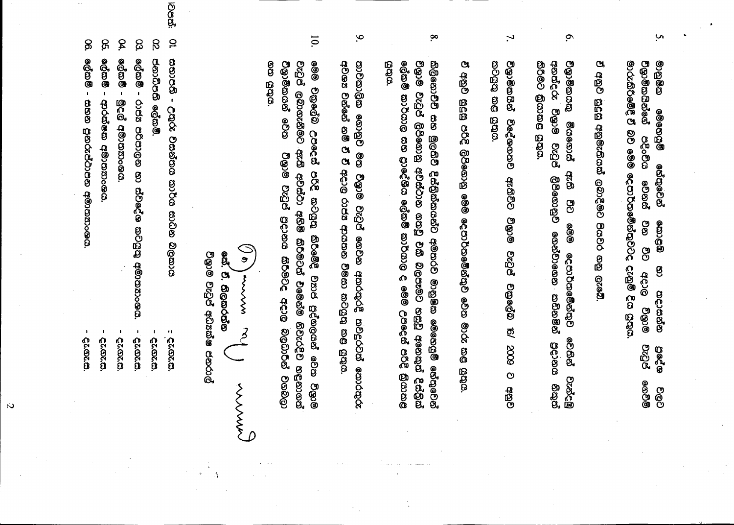මානුෂික මාරුකිර්මේදී ඒ බව මෙම දෙපාර්තමේන්තුවටද දැනුම් දිය යුතුය විශාමිකයින්ගේ ලෙය යම පදිංචිය හේතුවෙන් පියල් ၜၘ <u>co</u> g 0යක තදාසන්න වලාම **PG59** ත්දේශ තෙවිම් ලමල

 $\dot{\mathbf{v}}$ 

ඒ අනුව සුදුසු අනුමැතියක් ලබාදීමට පියවර ගනු ලැබේ

- $\sigma$ කිරීමට කියාකළ යුතුය. විශාමිකයකු අනත්දරු මැතිලු මියතොස් **PG2G** gab<br>B ලිපිගොහුව <u>co</u> මෙම තෙන්වාකෙන කඩිනමින් **දෙපාර්තමේන්තුව** වෙතින් ප්දානය වැන්දුඹු තිකුත්
- $\mathbf{L}$ විශාමිකයින් තුවයුතු කළ සුතුය විදේශගතව අන්විට විශාල වැටුප් පිළුලෙ **9 6002 /9** ලශිය

 $\alpha$ අනුව සුදුසු පරිදි ලිපිගොනු මෙම දෙපාර්තමේන්තුව වෙත මාරු කළ යුතුය

- $\infty$ මුගාම ශ්තය ලේකම් කාර්යාල සහ පාදේශීය ලේකම් කාර්යාල ද මෙම උපදෙස් පරිදි කියාකළ කිලිනොච්චි සහ මුලතිව් දිස්තුික්කයන්ට අමතරව මානුෂික මෙහෙයුම් හේතුවෙන් වැටුප් ලිපිගොනු අවස්ථාන ගතවූ චිකී බලපෑමට හසුවූ අනෙකුත් දිස්තුක්
- $\infty$ තාවකාලීක ගොහුව මත විශුාම වැටුප් ගෙවන අතරතුරදී තවදුරටත් තොරතුරු අවශ<sub>රී</sub> වන්නේ නම් ඒ ඒ අදාල රාජන ආයතන විමසා කටයුතු කළ යුතුය
- $10.$ @@ නත යුතුය විශාමිකයන් වැටුප් ලබාගැනීමට වනුවෙෙ ශල උපදෙස් ඇති අවස්ථා අතිමි කිරීමටත් වමෙන්ම නිවැරදිව හඳුනාගත් මෙනු 808<br>8 වෙලි තුවයු පුදානය කිරීමටද අදාල බලධාරින් කිරීමේදී චනාජ පුද්ගලයන් වෙත වගබලා මැතිලු

 $\mathcal{O}$ **B**  $\mathbf{\alpha}$ තිලුකරත්න くく  $\xi$ 

විශාම වැටුප් අධි¤ක්ෂ ජනරාල්

| 05. ගේකම් - ආරක්ෂක අමාතනාංශය. | 04. ලේකම් - මුදල් අමාතනංශය. | 03. ලේකම් – රාජන පරිපාලන හා ස්වදේශ කටයුතු අමාතනාංශය. – - දැගැ.ස. | 02. ජනාධිපති ලේකම්. | ටහේ: 01 සහපණි පාර්ය සාර්ය සාර්ය සාර්ය සාර්ය |
|-------------------------------|-----------------------------|------------------------------------------------------------------|---------------------|---------------------------------------------|
| - 22.00.0.                    | - 22.00.0.                  |                                                                  | <b>62.002.0.</b>    | $= 52.005.63$ .                             |

8

 $e$ ග්කම් -

සහන පුනරුප්ථාපන අමාතකාංශය

620025

تہ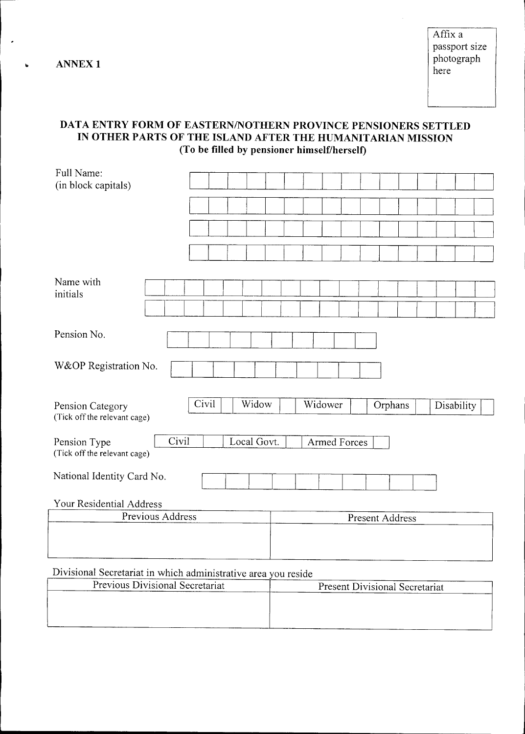~ ..

----l

## **DATA ENTRY FORM OF EASTERNINOTHERN PROVINCE PENSIONERS SETTLED IN OTHER PARTS OF THE ISLAND AFTER THE HUMANITARIAN MISSION (To be filled by pensioner himself/herself)**

| Full Name:<br>(in block capitals)                     |                |              |                       |
|-------------------------------------------------------|----------------|--------------|-----------------------|
|                                                       |                |              |                       |
|                                                       |                |              |                       |
|                                                       |                |              |                       |
| Name with<br>initials                                 |                |              |                       |
|                                                       |                |              |                       |
| Pension No.                                           |                |              |                       |
| W&OP Registration No.                                 |                |              |                       |
| Pension Category<br>(Tick off the relevant cage)      | Civil<br>Widow | Widower      | Orphans<br>Disability |
| Civil<br>Pension Type<br>(Tick off the relevant cage) | Local Govt.    | Armed Forces |                       |
| National Identity Card No.                            |                |              |                       |
| Your Residential Address                              |                |              |                       |
| Previous Address                                      |                |              | Present Address       |
|                                                       |                |              |                       |

## Divisional Secretariat in which administrative area you reside

| Previous Divisional Secretariat | Present Divisional Secretariat |
|---------------------------------|--------------------------------|
|                                 |                                |
|                                 |                                |
|                                 |                                |